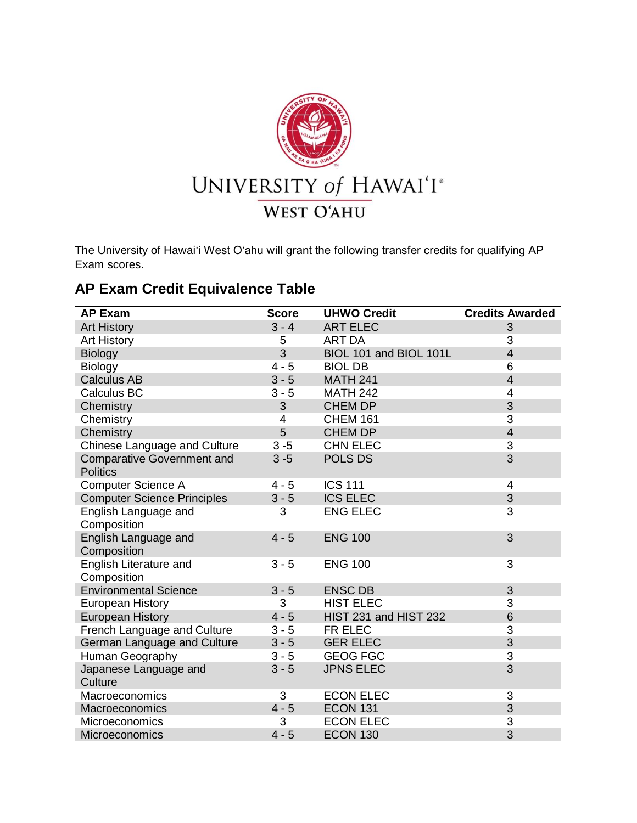

The University of Hawaiʻi West Oʻahu will grant the following transfer credits for qualifying AP Exam scores.

## **AP Exam Credit Equivalence Table**

| <b>AP Exam</b>                                       | <b>Score</b>   | <b>UHWO Credit</b>     | <b>Credits Awarded</b> |
|------------------------------------------------------|----------------|------------------------|------------------------|
| <b>Art History</b>                                   | $3 - 4$        | <b>ART ELEC</b>        | 3                      |
| <b>Art History</b>                                   | 5              | <b>ART DA</b>          | 3                      |
| Biology                                              | $\overline{3}$ | BIOL 101 and BIOL 101L | $\overline{4}$         |
| Biology                                              | $4 - 5$        | <b>BIOL DB</b>         | 6                      |
| <b>Calculus AB</b>                                   | $3 - 5$        | <b>MATH 241</b>        | $\overline{4}$         |
| Calculus BC                                          | $3 - 5$        | <b>MATH 242</b>        | 4                      |
| Chemistry                                            | 3              | <b>CHEM DP</b>         | 3                      |
| Chemistry                                            | 4              | <b>CHEM 161</b>        | 3                      |
| Chemistry                                            | 5              | <b>CHEM DP</b>         | $\overline{4}$         |
| Chinese Language and Culture                         | $3 - 5$        | <b>CHN ELEC</b>        | 3                      |
| <b>Comparative Government and</b><br><b>Politics</b> | $3 - 5$        | POLS DS                | $\overline{3}$         |
| <b>Computer Science A</b>                            | $4 - 5$        | <b>ICS 111</b>         | 4                      |
| <b>Computer Science Principles</b>                   | $3 - 5$        | <b>ICS ELEC</b>        | 3                      |
| English Language and<br>Composition                  | 3              | <b>ENG ELEC</b>        | 3                      |
| English Language and<br>Composition                  | $4 - 5$        | <b>ENG 100</b>         | 3                      |
| English Literature and<br>Composition                | $3 - 5$        | <b>ENG 100</b>         | 3                      |
| <b>Environmental Science</b>                         | $3 - 5$        | <b>ENSC DB</b>         | 3                      |
| European History                                     | 3              | <b>HIST ELEC</b>       | 3                      |
| <b>European History</b>                              | $4 - 5$        | HIST 231 and HIST 232  | 6                      |
| French Language and Culture                          | $3 - 5$        | FR ELEC                | 3                      |
| German Language and Culture                          | $3 - 5$        | <b>GER ELEC</b>        | 3                      |
| Human Geography                                      | $3 - 5$        | <b>GEOG FGC</b>        | 3                      |
| Japanese Language and<br>Culture                     | $3 - 5$        | <b>JPNS ELEC</b>       | 3                      |
| Macroeconomics                                       | 3              | <b>ECON ELEC</b>       | 3                      |
| Macroeconomics                                       | $4 - 5$        | <b>ECON 131</b>        | 3                      |
| Microeconomics                                       | 3              | <b>ECON ELEC</b>       | 3                      |
| Microeconomics                                       | $4 - 5$        | <b>ECON 130</b>        | 3                      |